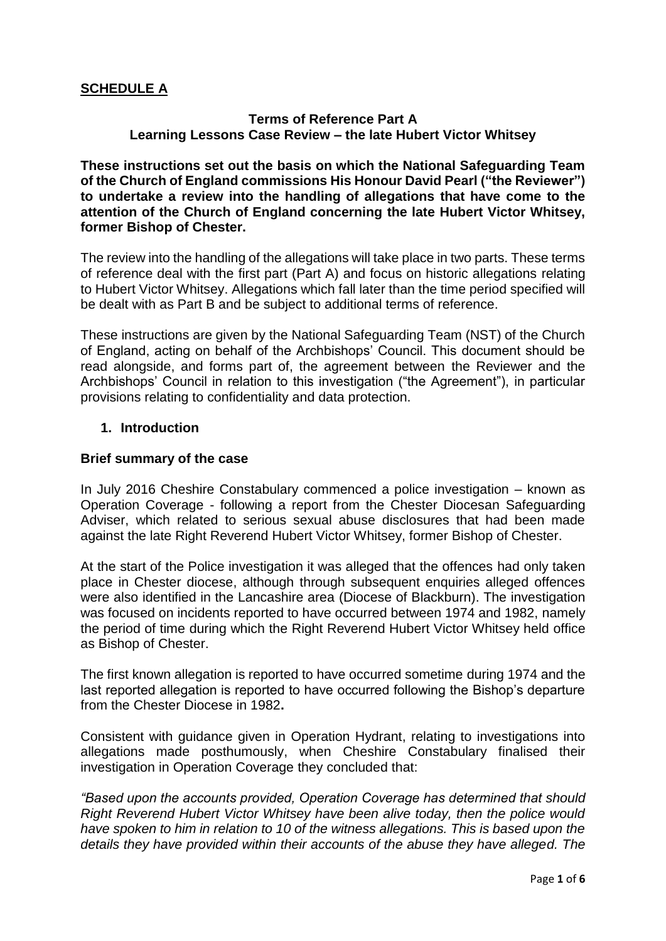# **SCHEDULE A**

## **Terms of Reference Part A Learning Lessons Case Review – the late Hubert Victor Whitsey**

**These instructions set out the basis on which the National Safeguarding Team of the Church of England commissions His Honour David Pearl ("the Reviewer") to undertake a review into the handling of allegations that have come to the attention of the Church of England concerning the late Hubert Victor Whitsey, former Bishop of Chester.**

The review into the handling of the allegations will take place in two parts. These terms of reference deal with the first part (Part A) and focus on historic allegations relating to Hubert Victor Whitsey. Allegations which fall later than the time period specified will be dealt with as Part B and be subject to additional terms of reference.

These instructions are given by the National Safeguarding Team (NST) of the Church of England, acting on behalf of the Archbishops' Council. This document should be read alongside, and forms part of, the agreement between the Reviewer and the Archbishops' Council in relation to this investigation ("the Agreement"), in particular provisions relating to confidentiality and data protection.

### **1. Introduction**

### **Brief summary of the case**

In July 2016 Cheshire Constabulary commenced a police investigation – known as Operation Coverage - following a report from the Chester Diocesan Safeguarding Adviser, which related to serious sexual abuse disclosures that had been made against the late Right Reverend Hubert Victor Whitsey, former Bishop of Chester.

At the start of the Police investigation it was alleged that the offences had only taken place in Chester diocese, although through subsequent enquiries alleged offences were also identified in the Lancashire area (Diocese of Blackburn). The investigation was focused on incidents reported to have occurred between 1974 and 1982, namely the period of time during which the Right Reverend Hubert Victor Whitsey held office as Bishop of Chester.

The first known allegation is reported to have occurred sometime during 1974 and the last reported allegation is reported to have occurred following the Bishop's departure from the Chester Diocese in 1982**.**

Consistent with guidance given in Operation Hydrant, relating to investigations into allegations made posthumously, when Cheshire Constabulary finalised their investigation in Operation Coverage they concluded that:

*"Based upon the accounts provided, Operation Coverage has determined that should Right Reverend Hubert Victor Whitsey have been alive today, then the police would have spoken to him in relation to 10 of the witness allegations. This is based upon the details they have provided within their accounts of the abuse they have alleged. The*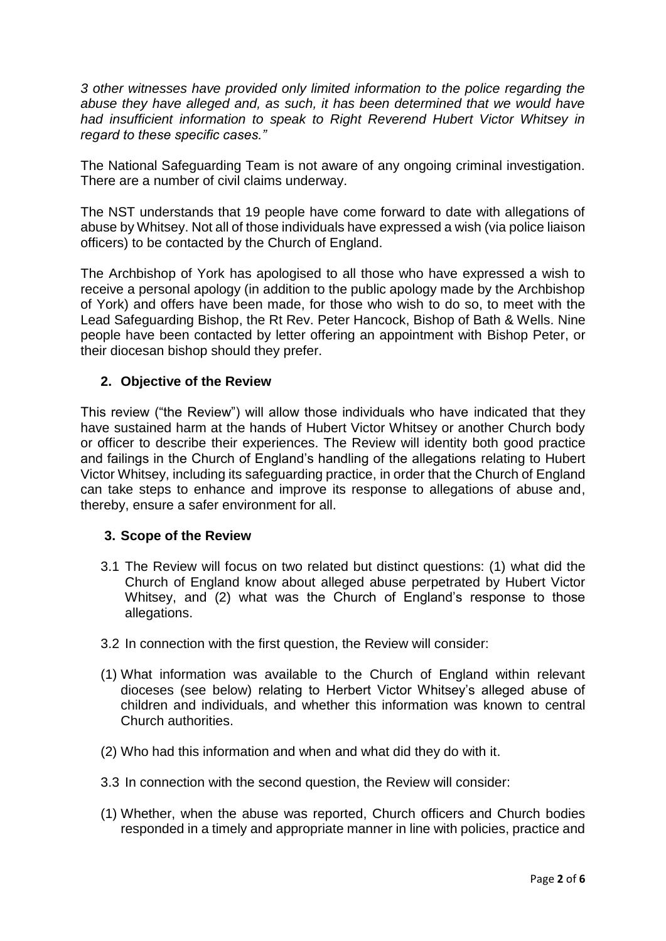*3 other witnesses have provided only limited information to the police regarding the abuse they have alleged and, as such, it has been determined that we would have had insufficient information to speak to Right Reverend Hubert Victor Whitsey in regard to these specific cases."*

The National Safeguarding Team is not aware of any ongoing criminal investigation. There are a number of civil claims underway.

The NST understands that 19 people have come forward to date with allegations of abuse by Whitsey. Not all of those individuals have expressed a wish (via police liaison officers) to be contacted by the Church of England.

The Archbishop of York has apologised to all those who have expressed a wish to receive a personal apology (in addition to the public apology made by the Archbishop of York) and offers have been made, for those who wish to do so, to meet with the Lead Safeguarding Bishop, the Rt Rev. Peter Hancock, Bishop of Bath & Wells. Nine people have been contacted by letter offering an appointment with Bishop Peter, or their diocesan bishop should they prefer.

## **2. Objective of the Review**

This review ("the Review") will allow those individuals who have indicated that they have sustained harm at the hands of Hubert Victor Whitsey or another Church body or officer to describe their experiences. The Review will identity both good practice and failings in the Church of England's handling of the allegations relating to Hubert Victor Whitsey, including its safeguarding practice, in order that the Church of England can take steps to enhance and improve its response to allegations of abuse and, thereby, ensure a safer environment for all.

## **3. Scope of the Review**

- 3.1 The Review will focus on two related but distinct questions: (1) what did the Church of England know about alleged abuse perpetrated by Hubert Victor Whitsey, and (2) what was the Church of England's response to those allegations.
- 3.2 In connection with the first question, the Review will consider:
- (1) What information was available to the Church of England within relevant dioceses (see below) relating to Herbert Victor Whitsey's alleged abuse of children and individuals, and whether this information was known to central Church authorities.
- (2) Who had this information and when and what did they do with it.
- 3.3 In connection with the second question, the Review will consider:
- (1) Whether, when the abuse was reported, Church officers and Church bodies responded in a timely and appropriate manner in line with policies, practice and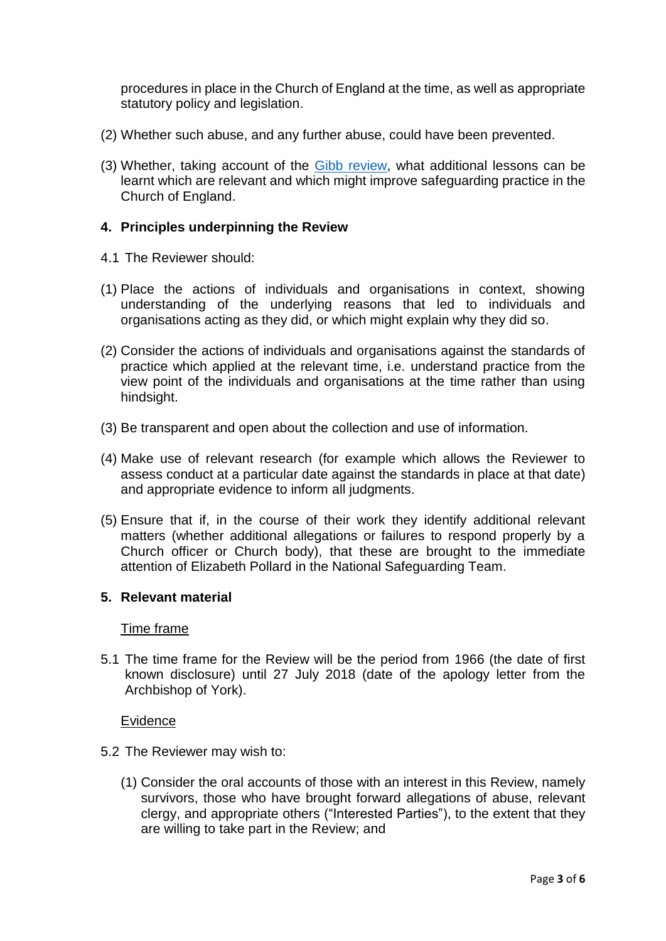procedures in place in the Church of England at the time, as well as appropriate statutory policy and legislation.

- (2) Whether such abuse, and any further abuse, could have been prevented.
- (3) Whether, taking account of the [Gibb review,](https://www.churchofengland.org/sites/default/files/2017-11/report-of-the-peter-ball-review-210617.pdf) what additional lessons can be learnt which are relevant and which might improve safeguarding practice in the Church of England.

## **4. Principles underpinning the Review**

- 4.1 The Reviewer should:
- (1) Place the actions of individuals and organisations in context, showing understanding of the underlying reasons that led to individuals and organisations acting as they did, or which might explain why they did so.
- (2) Consider the actions of individuals and organisations against the standards of practice which applied at the relevant time, i.e. understand practice from the view point of the individuals and organisations at the time rather than using hindsight.
- (3) Be transparent and open about the collection and use of information.
- (4) Make use of relevant research (for example which allows the Reviewer to assess conduct at a particular date against the standards in place at that date) and appropriate evidence to inform all judgments.
- (5) Ensure that if, in the course of their work they identify additional relevant matters (whether additional allegations or failures to respond properly by a Church officer or Church body), that these are brought to the immediate attention of Elizabeth Pollard in the National Safeguarding Team.

## **5. Relevant material**

#### Time frame

5.1 The time frame for the Review will be the period from 1966 (the date of first known disclosure) until 27 July 2018 (date of the apology letter from the Archbishop of York).

#### Evidence

- 5.2 The Reviewer may wish to:
	- (1) Consider the oral accounts of those with an interest in this Review, namely survivors, those who have brought forward allegations of abuse, relevant clergy, and appropriate others ("Interested Parties"), to the extent that they are willing to take part in the Review; and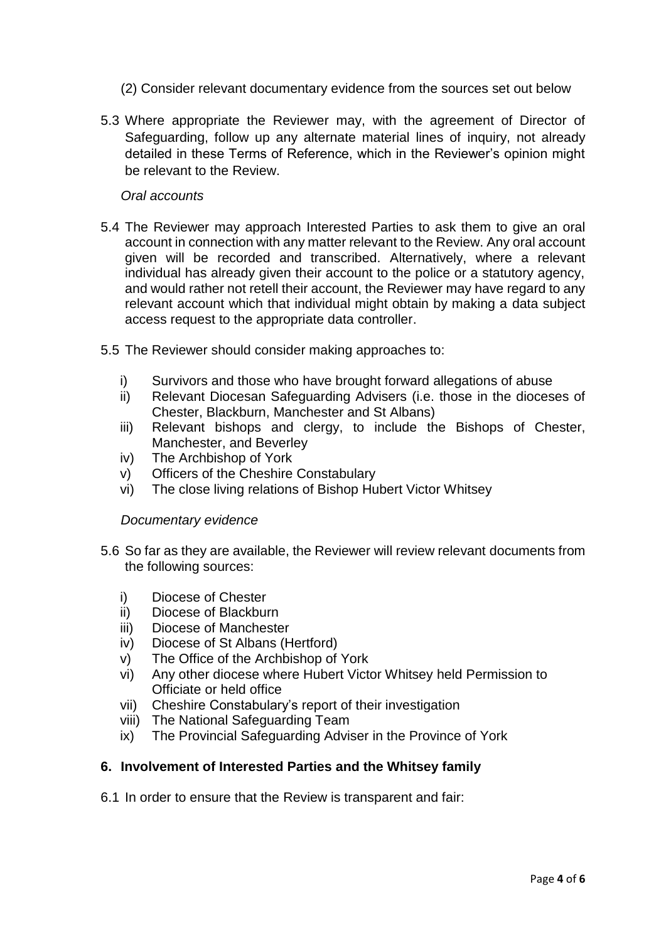- (2) Consider relevant documentary evidence from the sources set out below
- 5.3 Where appropriate the Reviewer may, with the agreement of Director of Safeguarding, follow up any alternate material lines of inquiry, not already detailed in these Terms of Reference, which in the Reviewer's opinion might be relevant to the Review.

#### *Oral accounts*

- 5.4 The Reviewer may approach Interested Parties to ask them to give an oral account in connection with any matter relevant to the Review. Any oral account given will be recorded and transcribed. Alternatively, where a relevant individual has already given their account to the police or a statutory agency, and would rather not retell their account, the Reviewer may have regard to any relevant account which that individual might obtain by making a data subject access request to the appropriate data controller.
- 5.5 The Reviewer should consider making approaches to:
	- i) Survivors and those who have brought forward allegations of abuse
	- ii) Relevant Diocesan Safeguarding Advisers (i.e. those in the dioceses of Chester, Blackburn, Manchester and St Albans)
	- iii) Relevant bishops and clergy, to include the Bishops of Chester, Manchester, and Beverley
	- iv) The Archbishop of York
	- v) Officers of the Cheshire Constabulary
	- vi) The close living relations of Bishop Hubert Victor Whitsey

#### *Documentary evidence*

- 5.6 So far as they are available, the Reviewer will review relevant documents from the following sources:
	- i) Diocese of Chester
	- ii) Diocese of Blackburn
	- iii) Diocese of Manchester
	- iv) Diocese of St Albans (Hertford)
	- v) The Office of the Archbishop of York
	- vi) Any other diocese where Hubert Victor Whitsey held Permission to Officiate or held office
	- vii) Cheshire Constabulary's report of their investigation
	- viii) The National Safeguarding Team
	- ix) The Provincial Safeguarding Adviser in the Province of York

## **6. Involvement of Interested Parties and the Whitsey family**

6.1 In order to ensure that the Review is transparent and fair: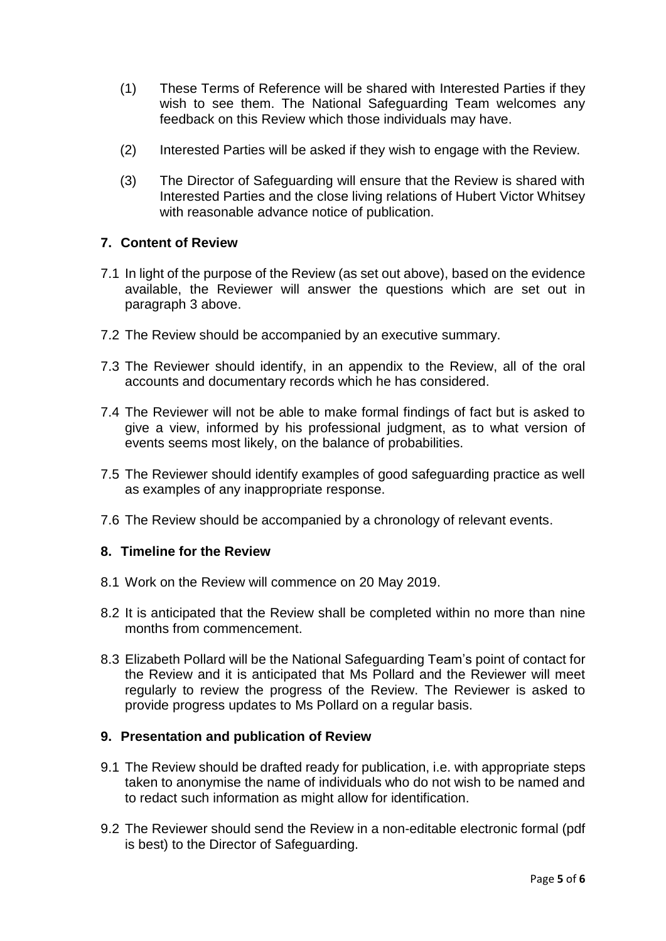- (1) These Terms of Reference will be shared with Interested Parties if they wish to see them. The National Safeguarding Team welcomes any feedback on this Review which those individuals may have.
- (2) Interested Parties will be asked if they wish to engage with the Review.
- (3) The Director of Safeguarding will ensure that the Review is shared with Interested Parties and the close living relations of Hubert Victor Whitsey with reasonable advance notice of publication.

## **7. Content of Review**

- 7.1 In light of the purpose of the Review (as set out above), based on the evidence available, the Reviewer will answer the questions which are set out in paragraph 3 above.
- 7.2 The Review should be accompanied by an executive summary.
- 7.3 The Reviewer should identify, in an appendix to the Review, all of the oral accounts and documentary records which he has considered.
- 7.4 The Reviewer will not be able to make formal findings of fact but is asked to give a view, informed by his professional judgment, as to what version of events seems most likely, on the balance of probabilities.
- 7.5 The Reviewer should identify examples of good safeguarding practice as well as examples of any inappropriate response.
- 7.6 The Review should be accompanied by a chronology of relevant events.

#### **8. Timeline for the Review**

- 8.1 Work on the Review will commence on 20 May 2019.
- 8.2 It is anticipated that the Review shall be completed within no more than nine months from commencement.
- 8.3 Elizabeth Pollard will be the National Safeguarding Team's point of contact for the Review and it is anticipated that Ms Pollard and the Reviewer will meet regularly to review the progress of the Review. The Reviewer is asked to provide progress updates to Ms Pollard on a regular basis.

## **9. Presentation and publication of Review**

- 9.1 The Review should be drafted ready for publication, i.e. with appropriate steps taken to anonymise the name of individuals who do not wish to be named and to redact such information as might allow for identification.
- 9.2 The Reviewer should send the Review in a non-editable electronic formal (pdf is best) to the Director of Safeguarding.